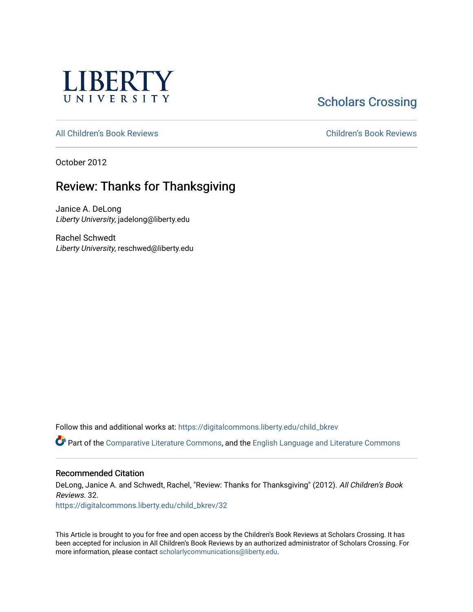

# **Scholars Crossing**

[All Children's Book Reviews](https://digitalcommons.liberty.edu/child_bkrev) [Children's Book Reviews](https://digitalcommons.liberty.edu/child_bookrev) 

October 2012

## Review: Thanks for Thanksgiving

Janice A. DeLong Liberty University, jadelong@liberty.edu

Rachel Schwedt Liberty University, reschwed@liberty.edu

Follow this and additional works at: [https://digitalcommons.liberty.edu/child\\_bkrev](https://digitalcommons.liberty.edu/child_bkrev?utm_source=digitalcommons.liberty.edu%2Fchild_bkrev%2F32&utm_medium=PDF&utm_campaign=PDFCoverPages) 

Part of the [Comparative Literature Commons](http://network.bepress.com/hgg/discipline/454?utm_source=digitalcommons.liberty.edu%2Fchild_bkrev%2F32&utm_medium=PDF&utm_campaign=PDFCoverPages), and the [English Language and Literature Commons](http://network.bepress.com/hgg/discipline/455?utm_source=digitalcommons.liberty.edu%2Fchild_bkrev%2F32&utm_medium=PDF&utm_campaign=PDFCoverPages)

#### Recommended Citation

DeLong, Janice A. and Schwedt, Rachel, "Review: Thanks for Thanksgiving" (2012). All Children's Book Reviews. 32.

[https://digitalcommons.liberty.edu/child\\_bkrev/32](https://digitalcommons.liberty.edu/child_bkrev/32?utm_source=digitalcommons.liberty.edu%2Fchild_bkrev%2F32&utm_medium=PDF&utm_campaign=PDFCoverPages)

This Article is brought to you for free and open access by the Children's Book Reviews at Scholars Crossing. It has been accepted for inclusion in All Children's Book Reviews by an authorized administrator of Scholars Crossing. For more information, please contact [scholarlycommunications@liberty.edu](mailto:scholarlycommunications@liberty.edu).